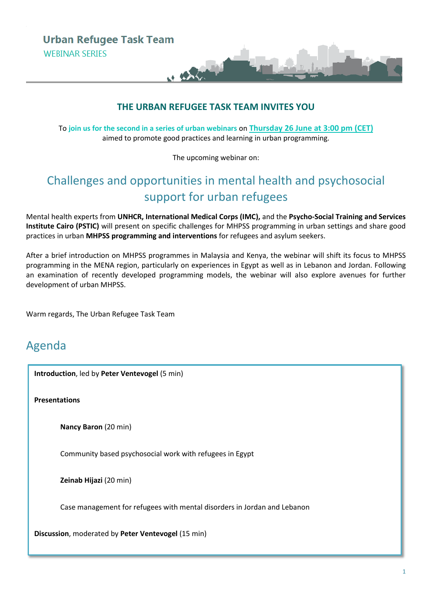### **THE URBAN REFUGEE TASK TEAM INVITES YOU**

**U. A. ROW** 

To **join us for the second in a series of urban webinars** on **Thursday 26 June at 3:00 pm (CET)** aimed to promote good practices and learning in urban programming.

The upcoming webinar on:

# Challenges and opportunities in mental health and psychosocial support for urban refugees

Mental health experts from **UNHCR, International Medical Corps (IMC),** and the **Psycho-Social Training and Services Institute Cairo (PSTIC)** will present on specific challenges for MHPSS programming in urban settings and share good practices in urban **MHPSS programming and interventions** for refugees and asylum seekers.

After a brief introduction on MHPSS programmes in Malaysia and Kenya, the webinar will shift its focus to MHPSS programming in the MENA region, particularly on experiences in Egypt as well as in Lebanon and Jordan. Following an examination of recently developed programming models, the webinar will also explore avenues for further development of urban MHPSS.

Warm regards, The Urban Refugee Task Team

## Agenda

**Introduction**, led by **Peter Ventevogel** (5 min)

**Presentations**

**Nancy Baron** (20 min)

Community based psychosocial work with refugees in Egypt

**Zeinab Hijazi** (20 min)

Case management for refugees with mental disorders in Jordan and Lebanon

**Discussion**, moderated by **Peter Ventevogel** (15 min)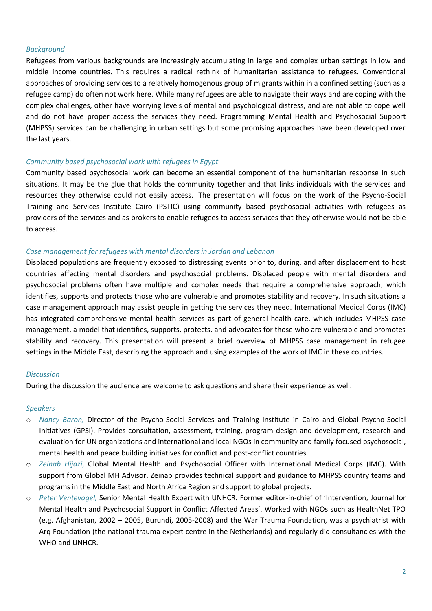#### *Background*

Refugees from various backgrounds are increasingly accumulating in large and complex urban settings in low and middle income countries. This requires a radical rethink of humanitarian assistance to refugees. Conventional approaches of providing services to a relatively homogenous group of migrants within in a confined setting (such as a refugee camp) do often not work here. While many refugees are able to navigate their ways and are coping with the complex challenges, other have worrying levels of mental and psychological distress, and are not able to cope well and do not have proper access the services they need. Programming Mental Health and Psychosocial Support (MHPSS) services can be challenging in urban settings but some promising approaches have been developed over the last years.

#### *Community based psychosocial work with refugees in Egypt*

Community based psychosocial work can become an essential component of the humanitarian response in such situations. It may be the glue that holds the community together and that links individuals with the services and resources they otherwise could not easily access. The presentation will focus on the work of the Psycho-Social Training and Services Institute Cairo (PSTIC) using community based psychosocial activities with refugees as providers of the services and as brokers to enable refugees to access services that they otherwise would not be able to access.

#### *Case management for refugees with mental disorders in Jordan and Lebanon*

Displaced populations are frequently exposed to distressing events prior to, during, and after displacement to host countries affecting mental disorders and psychosocial problems. Displaced people with mental disorders and psychosocial problems often have multiple and complex needs that require a comprehensive approach, which identifies, supports and protects those who are vulnerable and promotes stability and recovery. In such situations a case management approach may assist people in getting the services they need. International Medical Corps (IMC) has integrated comprehensive mental health services as part of general health care, which includes MHPSS case management, a model that identifies, supports, protects, and advocates for those who are vulnerable and promotes stability and recovery. This presentation will present a brief overview of MHPSS case management in refugee settings in the Middle East, describing the approach and using examples of the work of IMC in these countries.

#### *Discussion*

During the discussion the audience are welcome to ask questions and share their experience as well.

#### *Speakers*

- o *Nancy Baron,* Director of the Psycho-Social Services and Training Institute in Cairo and Global Psycho-Social Initiatives (GPSI). Provides consultation, assessment, training, program design and development, research and evaluation for UN organizations and international and local NGOs in community and family focused psychosocial, mental health and peace building initiatives for conflict and post-conflict countries.
- o *Zeinab Hijazi*, Global Mental Health and Psychosocial Officer with International Medical Corps (IMC). With support from Global MH Advisor, Zeinab provides technical support and guidance to MHPSS country teams and programs in the Middle East and North Africa Region and support to global projects.
- o *Peter Ventevogel,* Senior Mental Health Expert with UNHCR. Former editor-in-chief of 'Intervention, Journal for Mental Health and Psychosocial Support in Conflict Affected Areas'. Worked with NGOs such as HealthNet TPO (e.g. Afghanistan, 2002 – 2005, Burundi, 2005-2008) and the War Trauma Foundation, was a psychiatrist with Arq Foundation (the national trauma expert centre in the Netherlands) and regularly did consultancies with the WHO and UNHCR.